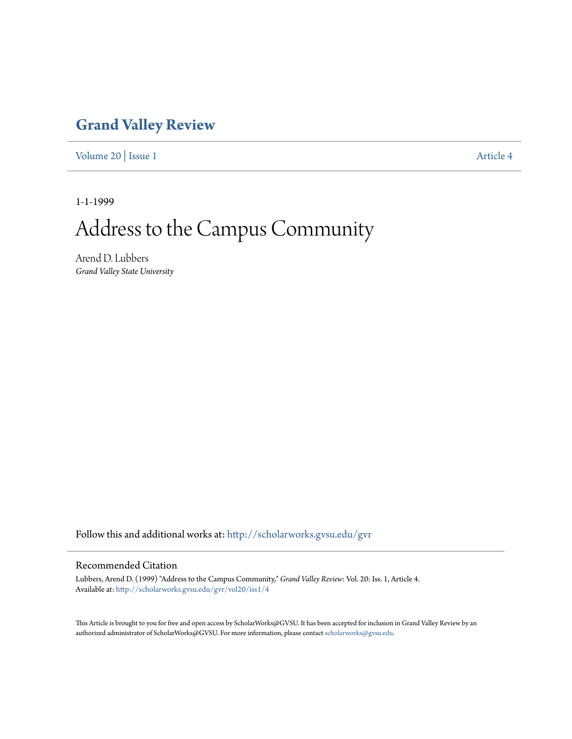## **[Grand Valley Review](http://scholarworks.gvsu.edu/gvr?utm_source=scholarworks.gvsu.edu%2Fgvr%2Fvol20%2Fiss1%2F4&utm_medium=PDF&utm_campaign=PDFCoverPages)**

[Volume 20](http://scholarworks.gvsu.edu/gvr/vol20?utm_source=scholarworks.gvsu.edu%2Fgvr%2Fvol20%2Fiss1%2F4&utm_medium=PDF&utm_campaign=PDFCoverPages) | [Issue 1](http://scholarworks.gvsu.edu/gvr/vol20/iss1?utm_source=scholarworks.gvsu.edu%2Fgvr%2Fvol20%2Fiss1%2F4&utm_medium=PDF&utm_campaign=PDFCoverPages) [Article 4](http://scholarworks.gvsu.edu/gvr/vol20/iss1/4?utm_source=scholarworks.gvsu.edu%2Fgvr%2Fvol20%2Fiss1%2F4&utm_medium=PDF&utm_campaign=PDFCoverPages)

1-1-1999

## Address to the Campus Community

Arend D. Lubbers *Grand Valley State University*

Follow this and additional works at: [http://scholarworks.gvsu.edu/gvr](http://scholarworks.gvsu.edu/gvr?utm_source=scholarworks.gvsu.edu%2Fgvr%2Fvol20%2Fiss1%2F4&utm_medium=PDF&utm_campaign=PDFCoverPages)

## Recommended Citation

Lubbers, Arend D. (1999) "Address to the Campus Community," *Grand Valley Review*: Vol. 20: Iss. 1, Article 4. Available at: [http://scholarworks.gvsu.edu/gvr/vol20/iss1/4](http://scholarworks.gvsu.edu/gvr/vol20/iss1/4?utm_source=scholarworks.gvsu.edu%2Fgvr%2Fvol20%2Fiss1%2F4&utm_medium=PDF&utm_campaign=PDFCoverPages)

This Article is brought to you for free and open access by ScholarWorks@GVSU. It has been accepted for inclusion in Grand Valley Review by an authorized administrator of ScholarWorks@GVSU. For more information, please contact [scholarworks@gvsu.edu.](mailto:scholarworks@gvsu.edu)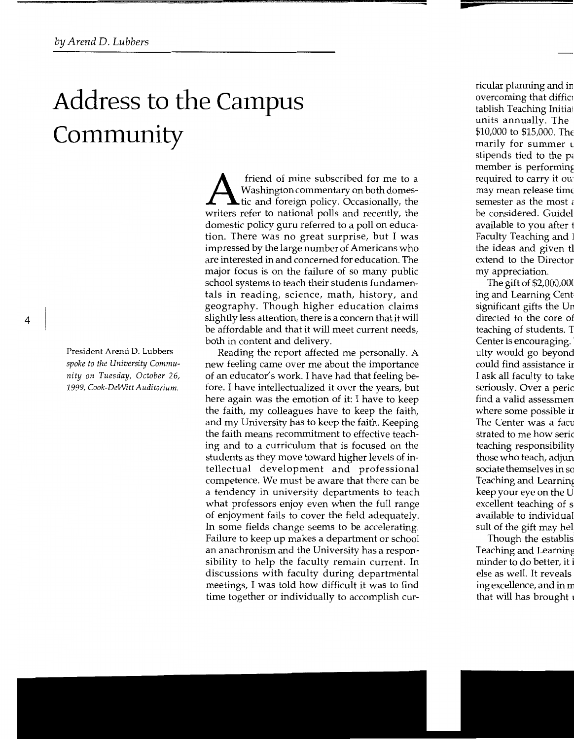## **Address to the Campus Community**

President Arend D. Lubbers *spoke to the University Community on Tuesday, October* 26, *1999, Cook-DeWitt Auditorium.* 

**A** friend of mine subscribed for me to a Washington commentary on both domes-<br>tic and foreign policy. Occasionally, the Washington commentary on both domeswriters refer to national polls and recently, the domestic policy guru referred to a poll on education. There was no great surprise, but I was impressed by the large number of Americans who are interested in and concerned for education. The major focus is on the failure of so many public school systems to teach their students fundamentals in reading, science, math, history, and geography. Though higher education claims slightly less attention, there is a concern that it will be affordable and that it will meet current needs, both in content and delivery.

Reading the report affected me personally. A new feeling carne over me about the importance of an educator's work. I have had that feeling before. I have intellectualized it over the years, but here again was the emotion of it: I have to keep the faith, my colleagues have to keep the faith, and my University has to keep the faith. Keeping the faith means recommitment to effective teaching and to a curriculum that is focused on the students as they move toward higher levels of intellectual development and professional competence. We must be aware that there can be a tendency in university departments to teach what professors enjoy even when the full range of enjoyment fails to cover the field adequately. In some fields change seems to be accelerating. Failure to keep up makes a department or school an anachronism and the University has a responsibility to help the faculty remain current. In discussions with faculty during departmental meetings, I was told how difficult it was to find time together or individually to accomplish cur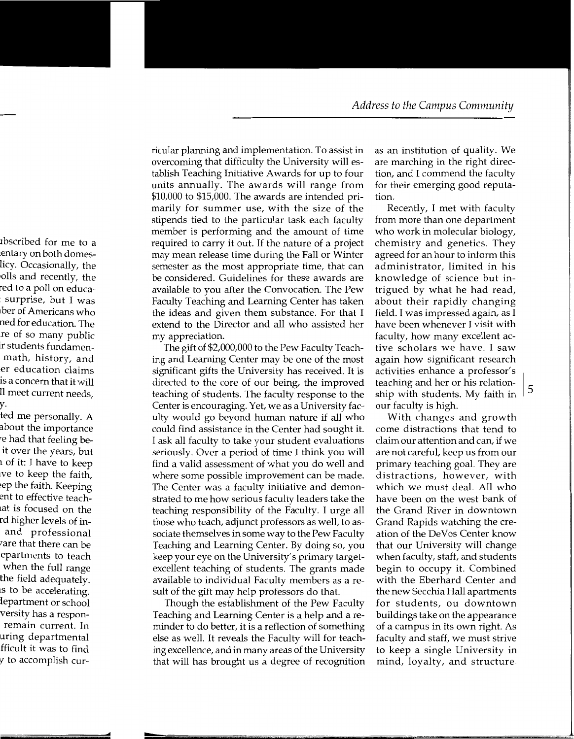ricular planning and implementation. To assist in overcoming that difficulty the University will establish Teaching Initiative Awards for up to four units annually. The awards will range from \$10,000 to \$15,000. The awards are intended primarily for summer use, with the size of the stipends tied to the particular task each faculty member is performing and the amount of time required to carry it out. If the nature of a project may mean release time during the Fall or Winter semester as the most appropriate time, that can be considered. Guidelines for these awards are available to you after the Convocation. The Pew Faculty Teaching and Learning Center has taken the ideas and given them substance. For that I extend to the Director and all who assisted her my appreciation.

The gift of \$2,000,000 to the Pew Faculty Teaching and Learning Center may be one of the most significant gifts the University has received. It is directed to the core of our being, the improved teaching of students. The faculty response to the Center is encouraging. Yet, we as a University faculty would go beyond human nature if all who could find assistance in the Center had sought it. I ask all faculty to take your student evaluations seriously. Over a period of time I think you will find a valid assessment of what you do well and where some possible improvement can be made. The Center was a faculty initiative and demonstrated to me how serious faculty leaders take the teaching responsibility of the Faculty. I urge all those who teach, adjunct professors as well, to associate themselves in some way to the Pew Faculty Teaching and Learning Center. By doing so, you keep your eye on the University's primary targetexcellent teaching of students. The grants made available to individual Faculty members as a result of the gift may help professors do that.

Though the establishment of the Pew Faculty Teaching and Learning Center is a help and a reminder to do better, it is a reflection of something else as well. It reveals the Faculty will for teaching excellence, and in many areas of the University that will has brought us a degree of recognition

as an institution of quality. We are marching in the right direction, and I commend the faculty for their emerging good reputation.

Recently, I met with faculty from more than one department who work in molecular biology, chemistry and genetics. They agreed for an hour to inform this administrator, limited in his knowledge of science but intrigued by what he had read, about their rapidly changing field. I was impressed again, as I have been whenever I visit with faculty, how many excellent active scholars we have. I saw again how significant research activities enhance a professor's teaching and her or his relation-<br>ship with students. My faith in our faculty is high.

With changes and growth come distractions that tend to claim our attention and can, if we are not careful, keep us from our primary teaching goal. They are distractions, however, with which we must deal. All who have been on the west bank of the Grand River in downtown Grand Rapids watching the creation of the DeVos Center know that our University will change when faculty, staff, and students begin to occupy it. Combined with the Eberhard Center and the new Secchia Hall apartments for students, ou downtown buildings take on the appearance of a campus in its own right. As faculty and staff, we must strive to keep a single University in mind, loyalty, and structure.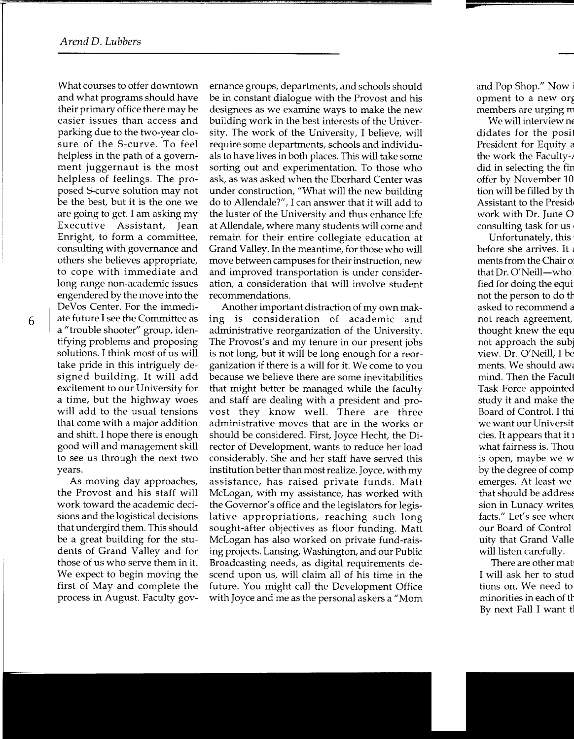What courses to offer downtown and what programs should have their primary office there may be easier issues than access and parking due to the two-year closure of the S-curve. To feel helpless in the path of a government juggernaut is the most helpless of feelings. The proposed S-curve solution may not be the best, but it is the one we are going to get. I am asking my Executive Assistant, Jean Enright, to form a committee, consulting with governance and others she believes appropriate, to cope with immediate and long-range non-academic issues engendered by the move into the DeVos Center. For the immediate future I see the Committee as a "trouble shooter" group, identifying problems and proposing solutions. I think most of us will take pride in this intriguely designed building. It will add excitement to our University for a time, but the highway woes will add to the usual tensions that come with a major addition and shift. I hope there is enough good will and management skill to see us through the next two years.

As moving day approaches, the Provost and his staff will work toward the academic decisions and the logistical decisions that undergird them. This should be a great building for the students of Grand Valley and for those of us who serve them in it. We expect to begin moving the first of May and complete the process in August. Faculty gov-

ernance groups, departments, and schools should be in constant dialogue with the Provost and his designees as we examine ways to make the new building work in the best interests of the University. The work of the University, I believe, will require some departments, schools and individuals to have lives in both places. This will take some sorting out and experimentation. To those who ask, as was asked when the Eberhard Center was under construction, "What will the new building do to Allendale?", I can answer that it will add to the luster of the University and thus enhance life at Allendale, where many students will come and remain for their entire collegiate education at Grand Valley. In the meantime, for those who will move between campuses for their instruction, new and improved transportation is under consideration, a consideration that will involve student recommendations.

Another important distraction of my own making is consideration of academic and administrative reorganization of the University. The Provost's and my tenure in our present jobs is not long, but it will be long enough for a reorganization if there is a will for it. We come to you because we believe there are some inevitabilities that might better be managed while the faculty and staff are dealing with a president and provost they know well. There are three administrative moves that are in the works or should be considered. First, Joyce Hecht, the Director of Development, wants to reduce her load considerably. She and her staff have served this institution better than most realize. Joyce, with my assistance, has raised private funds. Matt McLogan, with my assistance, has worked with the Governor's office and the legislators for legislative appropriations, reaching such long sought-after objectives as floor funding. Matt McLogan has also worked on private fund-raising projects. Lansing, Washington, and our Public Broadcasting needs, as digital requirements descend upon us, will claim all of his time in the future. You might call the Development Office with Joyce and me as the personal askers a "Mom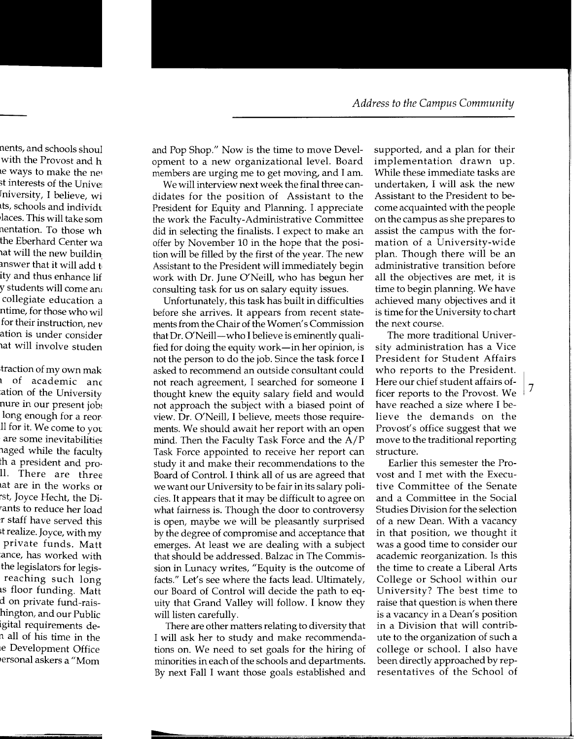and Pop Shop." Now is the time to move Development to a new organizational level. Board members are urging me to get moving, and I am.

We will interview next week the final three candidates for the position of Assistant to the President for Equity and Planning. I appreciate the work the Faculty-Administrative Committee did in selecting the finalists. I expect to make an offer by November 10 in the hope that the position will be filled by the first of the year. The new Assistant to the President will immediately begin work with Dr. June O'Neill, who has begun her consulting task for us on salary equity issues.

Unfortunately, this task has built in difficulties before she arrives. It appears from recent statements from the Chair of the Women's Commission that Dr. O'Neill-who I believe is eminently qualified for doing the equity work-in her opinion, is not the person to do the job. Since the task force I asked to recommend an outside consultant could not reach agreement, I searched for someone I thought knew the equity salary field and would not approach the subject with a biased point of view. Dr. O'Neill, I believe, meets those requirements. We should await her report with an open mind. Then the Faculty Task Force and the A/P Task Force appointed to receive her report can study it and make their recommendations to the Board of Control. I think all of us are agreed that we want our University to be fair in its salary policies. It appears that it may be difficult to agree on what fairness is. Though the door to controversy is open, maybe we will be pleasantly surprised by the degree of compromise and acceptance that emerges. At least we are dealing with a subject that should be addressed. Balzac in The Commission in Lunacy writes, "Equity is the outcome of facts." Let's see where the facts lead. Ultimately, our Board of Control will decide the path to equity that Grand Valley will follow. I know they will listen carefully.

There are other matters relating to diversity that I will ask her to study and make recommendations on. We need to set goals for the hiring of minorities in each of the schools and departments. By next Fall I want those goals established and supported, and a plan for their implementation drawn up. While these immediate tasks are undertaken, I will ask the new Assistant to the President to become acquainted with the people on the campus as she prepares to assist the campus with the formation of a University-wide plan. Though there will be an administrative transition before all the objectives are met, it is time to begin planning. We have achieved many objectives and it is time for the University to chart the next course.

The more traditional University administration has a Vice President for Student Affairs who reports to the President. Here our chief student affairs of-Fiere our chief student arranged-<br>ficer reports to the Provost. We have reached a size where I believe the demands on the Provost's office suggest that we move to the traditional reporting structure.

Earlier this semester the Provost and I met with the Executive Committee of the Senate and a Committee in the Social Studies Division for the selection of a new Dean. With a vacancy in that position, we thought it was a good time to consider our academic reorganization. Is this the time to create a Liberal Arts College or School within our University? The best time to raise that question is when there is a vacancy in a Dean's position in a Division that will contribute to the organization of such a college or school. I also have been directly approached by representatives of the School of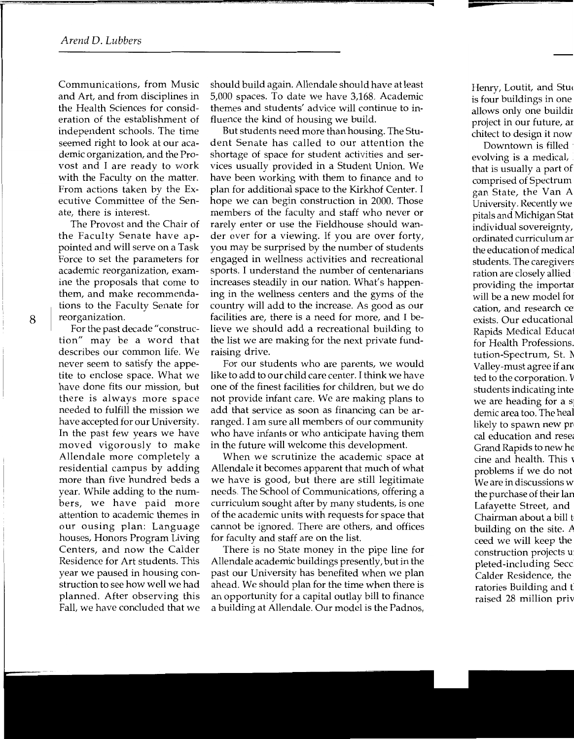Communications, from Music and Art, and from disciplines in the Health Sciences for consideration of the establishment of independent schools. The time seemed right to look at our academic organization, and the Provost and I are ready to work with the Faculty on the matter. From actions taken by the Executive Committee of the Senate, there is interest.

The Provost and the Chair of the Faculty Senate have appointed and will serve on a Task Force to set the parameters for academic reorganization, examine the proposals that come to them, and make recommendations to the Faculty Senate for reorganization.

For the past decade "construction" may be a word that describes our common life. We never seem to satisfy the appetite to enclose space. What we have done fits our mission, but there is always more space needed to fulfill the mission we have accepted for our University. In the past few years we have moved vigorously to make Allendale more completely a residential campus by adding more than five hundred beds a year. While adding to the numbers, we have paid more attention to academic themes in our ousing plan: Language houses, Honors Program Living Centers, and now the Calder Residence for Art students. This year we paused in housing construction to see how well we had planned. After observing this Fall, we have concluded that we should build again. Allendale should have at least 5,000 spaces. To date we have 3,168. Academic themes and students' advice will continue to influence the kind of housing we build.

But students need more than housing. The Student Senate has called to our attention the shortage of space for student activities and services usually provided in a Student Union. We have been working with them to finance and to plan for additional space to the Kirkhof Center. I hope we can begin construction in 2000. Those members of the faculty and staff who never or rarely enter or use the Fieldhouse should wander over for a viewing. If you are over forty, you may be surprised by the number of students engaged in wellness activities and recreational sports. I understand the number of centenarians increases steadily in our nation. What's happening in the wellness centers and the gyms of the country will add to the increase. As good as our facilities are, there is a need for more, and I believe we should add a recreational building to the list we are making for the next private fundraising drive.

For our students who are parents, we would like to add to our child care center. I think we have one of the finest facilities for children, but we do not provide infant care. We are making plans to add that service as soon as financing can be arranged. I am sure all members of our community who have infants or who anticipate having them in the future will welcome this development.

When we scrutinize the academic space at Allendale it becomes apparent that much of what we have is good, but there are still legitimate needs. The School of Communications, offering a curriculum sought after by many students, is one of the academic units with requests for space that cannot be ignored. There are others, and offices for faculty and staff are on the list.

There is no State money in the pipe line for Allendale academic buildings presently, but in the past our University has benefited when we plan ahead. We should plan for the time when there is an opportunity for a capital outlay bill to finance a building at Allendale. Our model is the Padnos,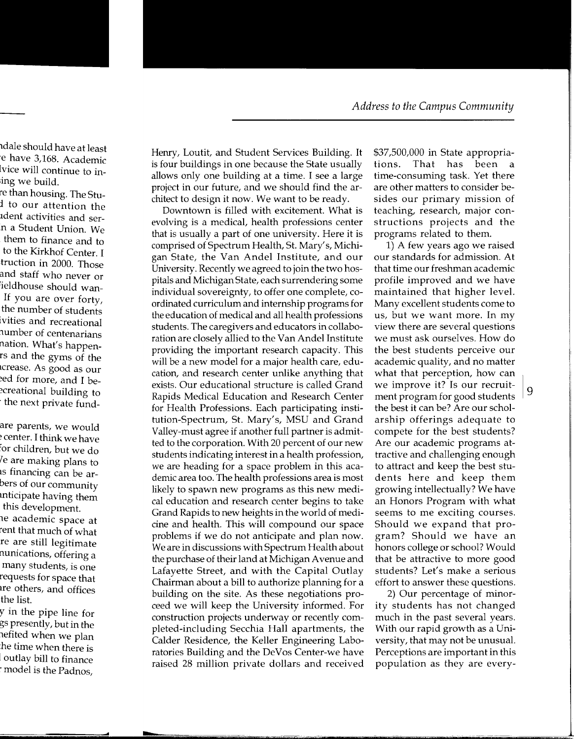Henry, Loutit, and Student Services Building. It is four buildings in one because the State usually allows only one building at a time. I see a large project in our future, and we should find the architect to design it now. We want to be ready.

Downtown is filled with excitement. What is evolving is a medical, health professions center that is usually a part of one university. Here it is comprised of Spectrum Health, St. Mary's, Michigan State, the Van Andel Institute, and our University. Recently we agreed to join the two hospitals and Michigan State, each surrendering some individual sovereignty, to offer one complete, coordinated curriculum and internship programs for the education of medical and all health professions students. The caregivers and educators in collaboration are closely allied to the Van Andel Institute providing the important research capacity. This will be a new model for a major health care, education, and research center unlike anything that exists. Our educational structure is called Grand Rapids Medical Education and Research Center for Health Professions. Each participating institution-Spectrum, St. Mary's, MSU and Grand Valley-must agree if another full partner is admitted to the corporation. With 20 percent of our new students indicating interest in a health profession, we are heading for a space problem in this academic area too. The health professions area is most likely to spawn new programs as this new medical education and research center begins to take Grand Rapids to new heights in the world of medicine and health. This will compound our space problems if we do not anticipate and plan now. We are in discussions with Spectrum Health about the purchase of their land at Michigan A venue and Lafayette Street, and with the Capital Outlay Chairman about a bill to authorize planning for a building on the site. As these negotiations proceed we will keep the University informed. For construction projects underway or recently completed-including Secchia Hall apartments, the Calder Residence, the Keller Engineering Laboratories Building and the DeVos Center-we have raised 28 million private dollars and received \$37,500,000 in State appropriations. That has been a time-consuming task. Yet there are other matters to consider besides our primary mission of teaching, research, major constructions projects and the programs related to them.

1) A few years ago we raised our standards for admission. At that time our freshman academic profile improved and we have maintained that higher level. Many excellent students come to us, but we want more. In my view there are several questions we must ask ourselves. How do the best students perceive our academic quality, and no matter what that perception, how can we improve it? Is our recruit-  $\vert 9 \rangle$ ment program for good students the best it can be? Are our scholarship offerings adequate to compete for the best students? Are our academic programs attractive and challenging enough to attract and keep the best students here and keep them growing intellectually? We have an Honors Program with what seems to me exciting courses. Should we expand that program? Should we have an honors college or school? Would that be attractive to more good students? Let's make a serious effort to answer these questions.

2) Our percentage of minority students has not changed much in the past several years. With our rapid growth as a University, that may not be unusual. Perceptions are important in this population as they are every-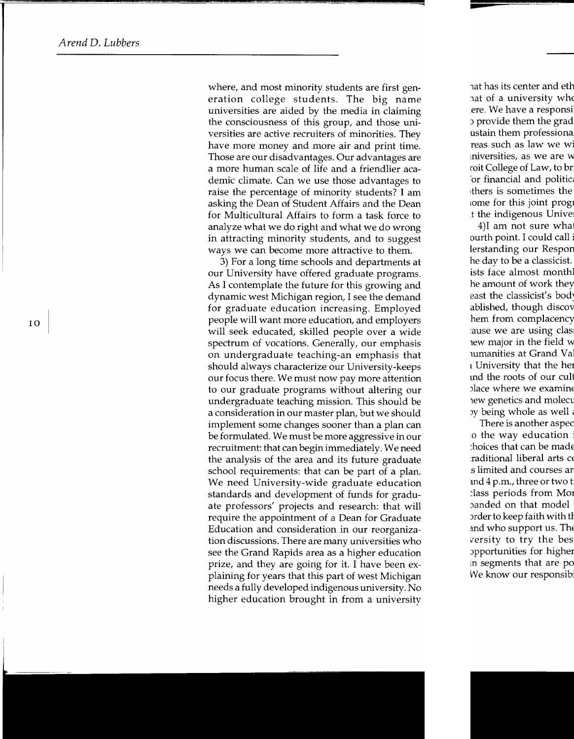where, and most minority students are first generation college students. The big name universities are aided by the media in claiming the consciousness of this group, and those universities are active recruiters of minorities. They have more money and more air and print time. Those are our disadvantages. Our advantages are a more human scale of life and a friendlier academic climate. Can we use those advantages to raise the percentage of minority students? I am asking the Dean of Student Affairs and the Dean for Multicultural Affairs to form a task force to analyze what we do right and what we do wrong in attracting minority students, and to suggest ways we can become more attractive to them.

3) For a long time schools and departments at our University have offered graduate programs. As I contemplate the future for this growing and dynamic west Michigan region, I see the demand for graduate education increasing. Employed people will want more education, and employers will seek educated, skilled people over a wide spectrum of vocations. Generally, our emphasis on undergraduate teaching-an emphasis that should always characterize our University-keeps our focus there. We must now pay more attention to our graduate programs without altering our undergraduate teaching mission. This should be a consideration in our master plan, but we should implement some changes sooner than a plan can be formulated. We must be more aggressive in our recruitment: that can begin immediately. We need the analysis of the area and its future graduate school requirements: that can be part of a plan. We need University-wide graduate education standards and development of funds for graduate professors' projects and research: that will require the appointment of a Dean for Graduate Education and consideration in our reorganization discussions. There are many universities who see the Grand Rapids area as a higher education prize, and they are going for it. I have been explaining for years that this part of west Michigan needs a fully developed indigenous university. No higher education brought in from a university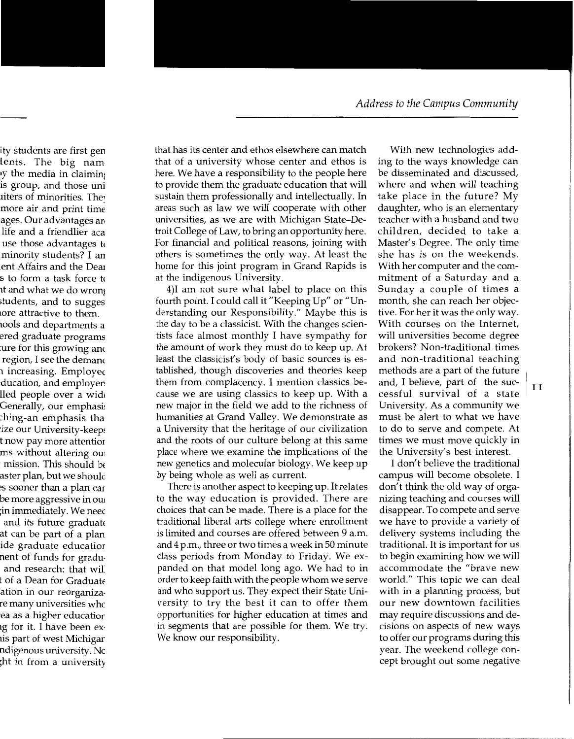that has its center and ethos elsewhere can match that of a university whose center and ethos is here. We have a responsibility to the people here to provide them the graduate education that will sustain them professionally and intellectually. In areas such as law we will cooperate with other universities, as we are with Michigan State-Detroit College of Law, to bring an opportunity here. For financial and political reasons, joining with others is sometimes the only way. At least the home for this joint program in Grand Rapids is at the indigenous University.

4)I am not sure what label to place on this fourth point. I could call it "Keeping Up" or "Understanding our Responsibility." Maybe this is the day to be a classicist. With the changes scientists face almost monthly I have sympathy for the amount of work they must do to keep up. At least the classicist's body of basic sources is established, though discoveries and theories keep them from complacency. I mention classics because we are using classics to keep up. With a new major in the field we add to the richness of humanities at Grand Valley. We demonstrate as a University that the heritage of our civilization and the roots of our culture belong at this same place where we examine the implications of the new genetics and molecular biology. We keep up by being whole as well as current.

There is another aspect to keeping up. It relates to the way education is provided. There are choices that can be made. There is a place for the traditional liberal arts college where enrollment is limited and courses are offered between 9 a.m. and 4 p.m., three or two times a week in 50 minute class periods from Monday to Friday. We expanded on that model long ago. We had to in order to keep faith with the people whom we serve and who support us. They expect their State University to try the best it can to offer them opportunities for higher education at times and in segments that are possible for them. We try. We know our responsibility.

With new technologies adding to the ways knowledge can be disseminated and discussed, where and when will teaching take place in the future? My daughter, who is an elementary teacher with a husband and two children, decided to take a Master's Degree. The only time she has is on the weekends. With her computer and the commitment of a Saturday and a Sunday a couple of times a month, she can reach her objective. For her it was the only way. With courses on the Internet, will universities become degree brokers? Non-traditional times and non-traditional teaching methods are a part of the future and, I believe, part of  $\frac{1}{1}$  the suc-  $\frac{1}{1}$  I cessful survival of a state University. As a community we must be alert to what we have to do to serve and compete. At times we must move quickly in the University's best interest.

I don't believe the traditional campus will become obsolete. I don't think the old way of organizing teaching and courses will disappear. To compete and serve we have to provide a variety of delivery systems including the traditional. It is important for us to begin examining how we will accommodate the "brave new world." This topic we can deal with in a planning process, but our new downtown facilities may require discussions and decisions on aspects of new ways to offer our programs during this year. The weekend college concept brought out some negative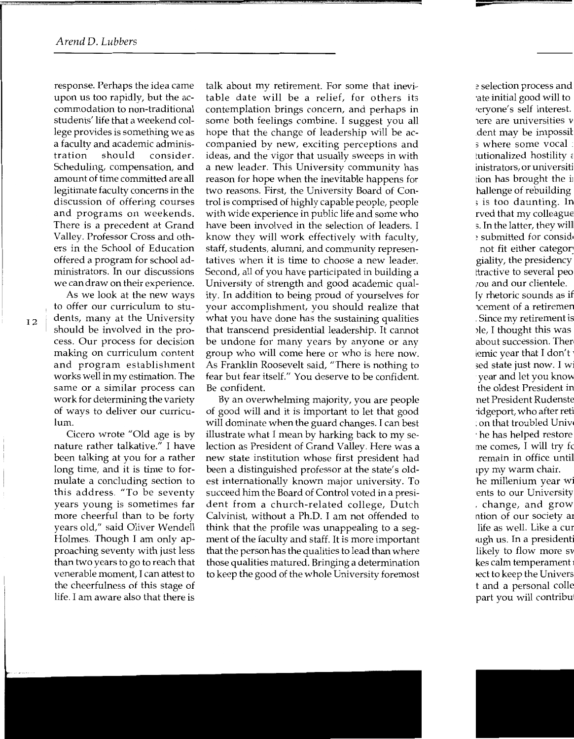response. Perhaps the idea came upon us too rapidly, but the accommodation to non-traditional students' life that a weekend college provides is something we as a faculty and academic administration should consider. Scheduling, compensation, and amount of time committed are all legitimate faculty concerns in the discussion of offering courses and programs on weekends. There is a precedent at Grand Valley. Professor Cross and others in the School of Education offered a program for school administrators. In our discussions we can draw on their experience.

As we look at the new ways to offer our curriculum to students, many at the University should be involved in the process. Our process for decision making on curriculum content and program establishment works well in my estimation. The same or a similar process can work for determining the variety of ways to deliver our curriculum.

Cicero wrote "Old age is by nature rather talkative." I have been talking at you for a rather long time, and it is time to formulate a concluding section to this address. "To be seventy years young is sometimes far more cheerful than to be forty years old," said Oliver Wendell Holmes. Though I am only approaching seventy with just less than two years to go to reach that venerable moment, I can attest to the cheerfulness of this stage of life. I am aware also that there is talk about my retirement. For some that inevitable date will be a relief, for others its contemplation brings concern, and perhaps in some both feelings combine. I suggest you all hope that the change of leadership will be accompanied by new, exciting perceptions and ideas, and the vigor that usually sweeps in with a new leader. This University community has reason for hope when the inevitable happens for two reasons. First, the University Board of Control is comprised of highly capable people, people with wide experience in public life and some who have been involved in the selection of leaders. I know they will work effectively with faculty, staff, students, alumni, and community representatives when it is time to choose a new leader. Second, all of you have participated in building a University of strength and good academic quality. In addition to being proud of yourselves for your accomplishment, you should realize that what you have done has the sustaining qualities that transcend presidential leadership. It cannot be undone for many years by anyone or any group who will come here or who is here now. As Franklin Roosevelt said, "There is nothing to fear but fear itself." You deserve to be confident. Be confident.

By an overwhelming majority, you are people of good will and it is important to let that good will dominate when the guard changes. I can best illustrate what I mean by harking back to my selection as President of Grand Valley. Here was a new state institution whose first president had been a distinguished professor at the state's oldest internationally known major university. To succeed him the Board of Control voted in a president from a church-related college, Dutch Calvinist, without a Ph.D. I am not offended to think that the profile was unappealing to a segment of the faculty and staff. It is more important that the person has the qualities to lead than where those qualities matured. Bringing a determination to keep the good of the whole University foremost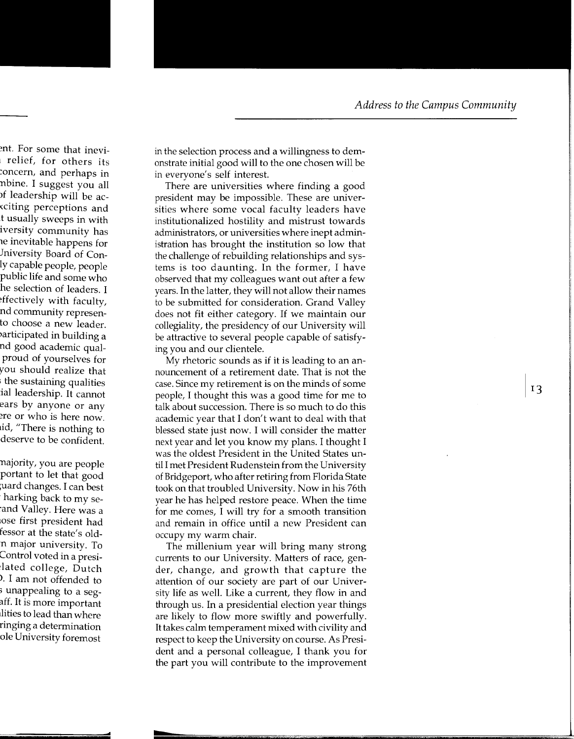in the selection process and a willingness to demonstrate initial good will to the one chosen will be in everyone's self interest.

There are universities where finding a good president may be impossible. These are universities where some vocal faculty leaders have institutionalized hostility and mistrust towards administrators, or universities where inept administration has brought the institution so low that the challenge of rebuilding relationships and systems is too daunting. In the former, I have observed that my colleagues want out after a few years. In the latter, they will not allow their names to be submitted for consideration. Grand Valley does not fit either category. If we maintain our collegiality, the presidency of our University will be attractive to several people capable of satisfying you and our clientele.

My rhetoric sounds as if it is leading to an announcement of a retirement date. That is not the case. Since my retirement is on the minds of some people, I thought this was a good time for me to talk about succession. There is so much to do this academic year that I don't want to deal with that blessed state just now. I will consider the matter next year and let you know my plans. I thought I was the oldest President in the United States until I met President Rudenstein from the University of Bridgeport, who after retiring from Florida State took on that troubled University. Now in his 76th year he has helped restore peace. When the time for me comes, I will try for a smooth transition and remain in office until a new President can occupy my warm chair.

The millenium year will bring many strong currents to our University. Matters of race, gender, change, and growth that capture the attention of our society are part of our University life as well. Like a current, they flow in and through us. In a presidential election year things are likely to flow more swiftly and powerfully. It takes calm temperament mixed with civility and respect to keep the University on course. As President and a personal colleague, I thank you for the part you will contribute to the improvement